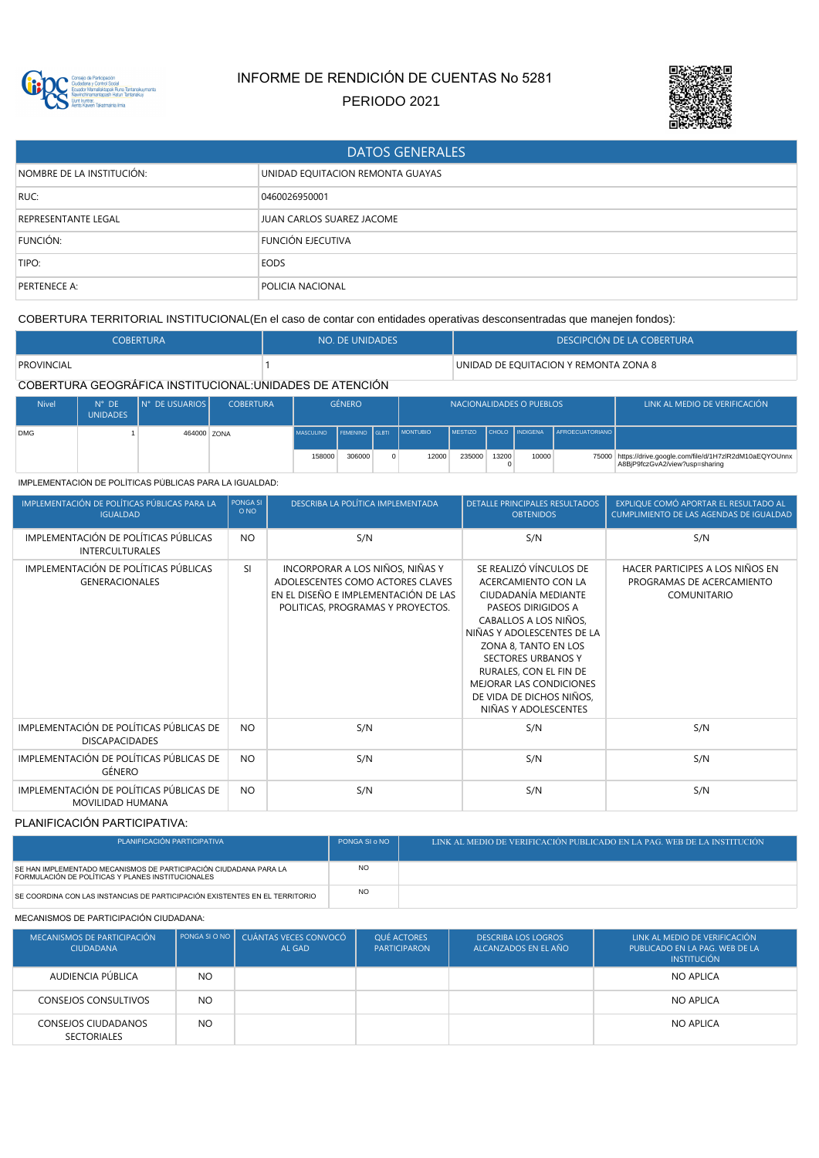

# INFORME DE RENDICIÓN DE CUENTAS No 5281

PERIODO 2021



| <b>DATOS GENERALES</b>     |                                  |  |  |  |  |  |  |
|----------------------------|----------------------------------|--|--|--|--|--|--|
| NOMBRE DE LA INSTITUCIÓN:  | UNIDAD EQUITACION REMONTA GUAYAS |  |  |  |  |  |  |
| RUC:                       | 0460026950001                    |  |  |  |  |  |  |
| <b>REPRESENTANTE LEGAL</b> | JUAN CARLOS SUAREZ JACOME        |  |  |  |  |  |  |
| FUNCIÓN:                   | <b>FUNCIÓN EJECUTIVA</b>         |  |  |  |  |  |  |
| TIPO:                      | <b>EODS</b>                      |  |  |  |  |  |  |
| PERTENECE A:               | POLICIA NACIONAL                 |  |  |  |  |  |  |

COBERTURA TERRITORIAL INSTITUCIONAL(En el caso de contar con entidades operativas desconsentradas que manejen fondos):

| <b>COBERTURA</b>                                        | NO. DE UNIDADES | DESCIPCIÓN DE LA COBERTURA            |
|---------------------------------------------------------|-----------------|---------------------------------------|
| PROVINCIAL                                              |                 | UNIDAD DE EQUITACION Y REMONTA ZONA 8 |
| COBERTURA GEOGRÁFICA INSTITUCIONAL:UNIDADES DE ATENCIÓN |                 |                                       |

| <b>Nivel</b> | $N^{\circ}$ DE<br><b>UNIDADES</b> | IN° DE USUARIOS I | <b>COBERTURA</b> |                          | género |          | NACIONALIDADES O PUEBLOS |        |       |       | LINK AL MEDIO DE VERIFICACIÓN          |                                                                                                |
|--------------|-----------------------------------|-------------------|------------------|--------------------------|--------|----------|--------------------------|--------|-------|-------|----------------------------------------|------------------------------------------------------------------------------------------------|
| <b>DMG</b>   |                                   | 464000 70NA       |                  | MASCULINO FEMENINO GLBTI |        |          | <b>MONTUBIO</b>          |        |       |       | MESTIZO CHOLO INDIGENA AFROECUATORIANO |                                                                                                |
|              |                                   |                   |                  | 158000                   | 306000 | $\Omega$ | 12000                    | 235000 | 13200 | 10000 |                                        | 75000 https://drive.google.com/file/d/1H7zIR2dM10aEQYOUnnx  <br>A8BjP9fczGvA2/view?usp=sharing |

IMPLEMENTACIÓN DE POLÍTICAS PÚBLICAS PARA LA IGUALDAD:

| IMPLEMENTACIÓN DE POLÍTICAS PÚBLICAS PARA LA<br><b>IGUALDAD</b>  | PONGA SI<br>O <sub>NO</sub> | DESCRIBA LA POLÍTICA IMPLEMENTADA                                                                                                                | <b>DETALLE PRINCIPALES RESULTADOS</b><br><b>OBTENIDOS</b>                                                                                                                                                                                                                                                       | EXPLIQUE COMÓ APORTAR EL RESULTADO AL<br>CUMPLIMIENTO DE LAS AGENDAS DE IGUALDAD |
|------------------------------------------------------------------|-----------------------------|--------------------------------------------------------------------------------------------------------------------------------------------------|-----------------------------------------------------------------------------------------------------------------------------------------------------------------------------------------------------------------------------------------------------------------------------------------------------------------|----------------------------------------------------------------------------------|
| IMPLEMENTACIÓN DE POLÍTICAS PÚBLICAS<br><b>INTERCULTURALES</b>   | <b>NO</b>                   | S/N                                                                                                                                              | S/N                                                                                                                                                                                                                                                                                                             | S/N                                                                              |
| IMPLEMENTACIÓN DE POLÍTICAS PÚBLICAS<br><b>GENERACIONALES</b>    | <b>SI</b>                   | INCORPORAR A LOS NIÑOS, NIÑAS Y<br>ADOLESCENTES COMO ACTORES CLAVES<br>EN EL DISEÑO E IMPLEMENTACIÓN DE LAS<br>POLITICAS, PROGRAMAS Y PROYECTOS. | SE REALIZÓ VÍNCULOS DE<br>ACERCAMIENTO CON LA<br>CIUDADANÍA MEDIANTE<br>PASEOS DIRIGIDOS A<br>CABALLOS A LOS NIÑOS,<br>NIÑAS Y ADOLESCENTES DE LA<br>ZONA 8, TANTO EN LOS<br><b>SECTORES URBANOS Y</b><br>RURALES, CON EL FIN DE<br>MEJORAR LAS CONDICIONES<br>DE VIDA DE DICHOS NIÑOS,<br>NIÑAS Y ADOLESCENTES | HACER PARTICIPES A LOS NIÑOS EN<br>PROGRAMAS DE ACERCAMIENTO<br>COMUNITARIO      |
| IMPLEMENTACIÓN DE POLÍTICAS PÚBLICAS DE<br><b>DISCAPACIDADES</b> | <b>NO</b>                   | S/N                                                                                                                                              | S/N                                                                                                                                                                                                                                                                                                             | S/N                                                                              |
| IMPLEMENTACIÓN DE POLÍTICAS PÚBLICAS DE<br>GÉNERO                | <b>NO</b>                   | S/N                                                                                                                                              | S/N                                                                                                                                                                                                                                                                                                             | S/N                                                                              |
| IMPLEMENTACIÓN DE POLÍTICAS PÚBLICAS DE<br>MOVILIDAD HUMANA      | <b>NO</b>                   | S/N                                                                                                                                              | S/N                                                                                                                                                                                                                                                                                                             | S/N                                                                              |

### PLANIFICACIÓN PARTICIPATIVA:

| PLANIFICACIÓN PARTICIPATIVA                                                                                            | PONGA SI o NO  | LINK AL MEDIO DE VERIFICACIÓN PUBLICADO EN LA PAG. WEB DE LA INSTITUCIÓN |
|------------------------------------------------------------------------------------------------------------------------|----------------|--------------------------------------------------------------------------|
| SE HAN IMPLEMENTADO MECANISMOS DE PARTICIPACIÓN CIUDADANA PARA LA<br>FORMULACIÓN DE POLÍTICAS Y PLANES INSTITUCIONALES | N <sub>O</sub> |                                                                          |
| SE COORDINA CON LAS INSTANCIAS DE PARTICIPACIÓN EXISTENTES EN EL TERRITORIO                                            | N <sub>O</sub> |                                                                          |

#### MECANISMOS DE PARTICIPACIÓN CIUDADANA:

| MECANISMOS DE PARTICIPACIÓN<br><b>CIUDADANA</b> | PONGA SI O NO  | CUÁNTAS VECES CONVOCÓ<br>AL GAD | <b>OUÉ ACTORES</b><br><b>PARTICIPARON</b> | <b>DESCRIBA LOS LOGROS</b><br>ALCANZADOS EN EL AÑO | LINK AL MEDIO DE VERIFICACIÓN<br>PUBLICADO EN LA PAG. WEB DE LA<br><b>INSTITUCIÓN</b> |
|-------------------------------------------------|----------------|---------------------------------|-------------------------------------------|----------------------------------------------------|---------------------------------------------------------------------------------------|
| AUDIENCIA PÚBLICA                               | N <sub>O</sub> |                                 |                                           |                                                    | NO APLICA                                                                             |
| <b>CONSEJOS CONSULTIVOS</b>                     | N <sub>O</sub> |                                 |                                           |                                                    | NO APLICA                                                                             |
| CONSEJOS CIUDADANOS<br><b>SECTORIALES</b>       | N <sub>O</sub> |                                 |                                           |                                                    | NO APLICA                                                                             |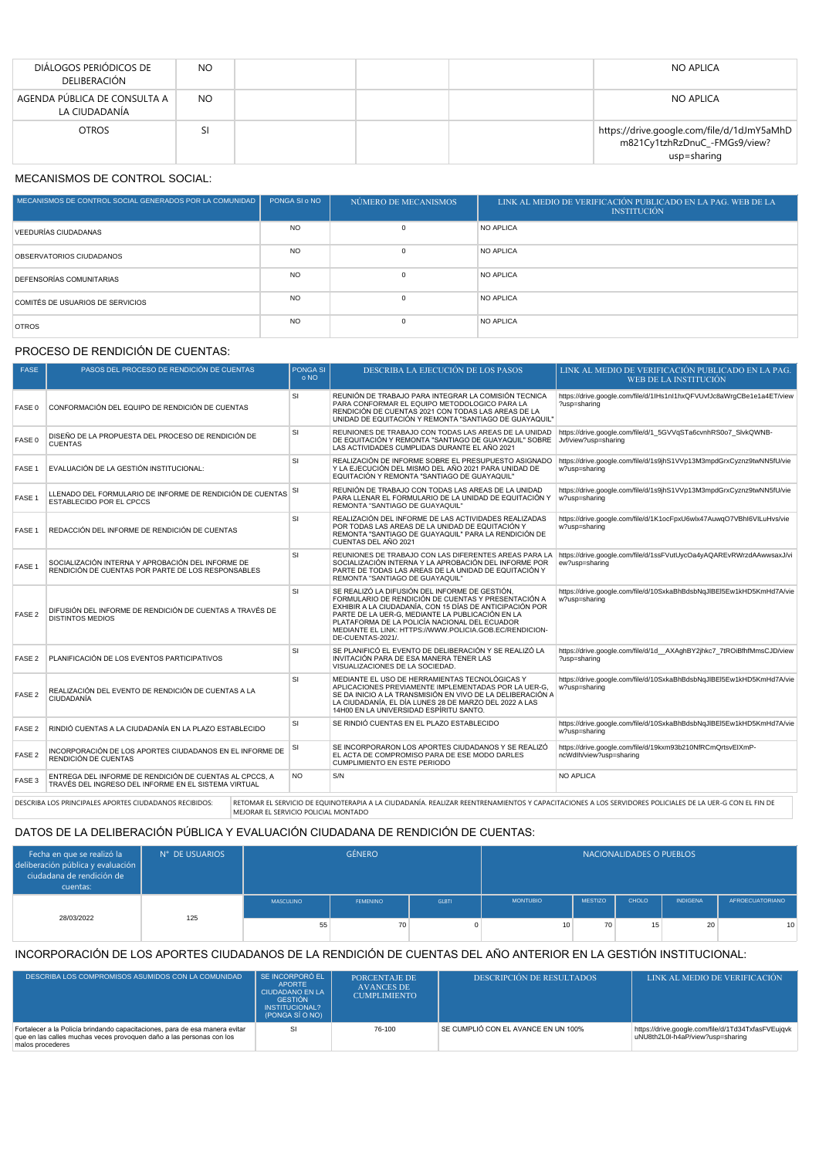| DIÁLOGOS PERIÓDICOS DE<br>DELIBERACIÓN        | N <sub>O</sub> |  | NO APLICA                                                                                  |
|-----------------------------------------------|----------------|--|--------------------------------------------------------------------------------------------|
| AGENDA PÚBLICA DE CONSULTA A<br>LA CIUDADANÍA | N <sub>O</sub> |  | NO APLICA                                                                                  |
| <b>OTROS</b>                                  | SI             |  | https://drive.google.com/file/d/1dJmY5aMhD<br>m821Cy1tzhRzDnuC_-FMGs9/view?<br>usp=sharing |

# MECANISMOS DE CONTROL SOCIAL:

| MECANISMOS DE CONTROL SOCIAL GENERADOS POR LA COMUNIDAD | PONGA SI o NO  | NÚMERO DE MECANISMOS | LINK AL MEDIO DE VERIFICACIÓN PUBLICADO EN LA PAG. WEB DE LA<br><b>INSTITUCIÓN</b> |
|---------------------------------------------------------|----------------|----------------------|------------------------------------------------------------------------------------|
| VEEDURÍAS CIUDADANAS                                    | N <sub>O</sub> |                      | NO APLICA                                                                          |
| OBSERVATORIOS CIUDADANOS                                | N <sub>O</sub> |                      | NO APLICA                                                                          |
| <b>DEFENSORÍAS COMUNITARIAS</b>                         | N <sub>O</sub> |                      | NO APLICA                                                                          |
| COMITÉS DE USUARIOS DE SERVICIOS                        | N <sub>O</sub> |                      | NO APLICA                                                                          |
| <b>OTROS</b>                                            | N <sub>O</sub> |                      | NO APLICA                                                                          |

### PROCESO DE RENDICIÓN DE CUENTAS:

| <b>FASE</b>       | PASOS DEL PROCESO DE RENDICIÓN DE CUENTAS                                                                       | <b>PONGA SI</b><br>o NO | <b>DESCRIBA LA EJECUCIÓN DE LOS PASOS</b>                                                                                                                                                                                                                                                                                                              | LINK AL MEDIO DE VERIFICACIÓN PUBLICADO EN LA PAG.<br>WEB DE LA INSTITUCIÓN            |
|-------------------|-----------------------------------------------------------------------------------------------------------------|-------------------------|--------------------------------------------------------------------------------------------------------------------------------------------------------------------------------------------------------------------------------------------------------------------------------------------------------------------------------------------------------|----------------------------------------------------------------------------------------|
|                   |                                                                                                                 |                         |                                                                                                                                                                                                                                                                                                                                                        |                                                                                        |
| FASE 0            | CONFORMACIÓN DEL EQUIPO DE RENDICIÓN DE CUENTAS                                                                 | <b>SI</b>               | REUNIÓN DE TRABAJO PARA INTEGRAR LA COMISIÓN TECNICA<br>PARA CONFORMAR EL EQUIPO METODOLOGICO PARA LA<br>RENDICIÓN DE CUENTAS 2021 CON TODAS LAS AREAS DE LA<br>UNIDAD DE EQUITACIÓN Y REMONTA "SANTIAGO DE GUAYAQUIL"                                                                                                                                 | https://drive.google.com/file/d/1lHs1nl1hxQFVUvfJc8aWrgCBe1e1a4ET/view<br>?usp=sharing |
| FASE 0            | DISEÑO DE LA PROPUESTA DEL PROCESO DE RENDICIÓN DE<br><b>CUENTAS</b>                                            | <b>SI</b>               | REUNIONES DE TRABAJO CON TODAS LAS AREAS DE LA UNIDAD<br>DE EQUITACIÓN Y REMONTA "SANTIAGO DE GUAYAQUIL" SOBRE<br>LAS ACTIVIDADES CUMPLIDAS DURANTE EL AÑO 2021                                                                                                                                                                                        | https://drive.google.com/file/d/1 5GVVqSTa6cvnhRS0o7 SlvkQWNB-<br>Jvf/view?usp=sharing |
| FASE 1            | EVALUACIÓN DE LA GESTIÓN INSTITUCIONAL:                                                                         | SI                      | REALIZACIÓN DE INFORME SOBRE EL PRESUPUESTO ASIGNADO<br>Y LA EJECUCIÓN DEL MISMO DEL AÑO 2021 PARA UNIDAD DE<br>EQUITACIÓN Y REMONTA "SANTIAGO DE GUAYAQUIL"                                                                                                                                                                                           | https://drive.google.com/file/d/1s9jhS1VVp13M3mpdGrxCyznz9twNN5fU/vie<br>w?usp=sharing |
| FASE 1            | LLENADO DEL FORMULARIO DE INFORME DE RENDICIÓN DE CUENTAS<br>ESTABLECIDO POR EL CPCCS                           | SI                      | REUNIÓN DE TRABAJO CON TODAS LAS AREAS DE LA UNIDAD<br>PARA LLENAR EL FORMULARIO DE LA UNIDAD DE EQUITACIÓN Y<br>REMONTA "SANTIAGO DE GUAYAQUIL"                                                                                                                                                                                                       | https://drive.google.com/file/d/1s9jhS1VVp13M3mpdGrxCyznz9twNN5fU/vie<br>w?usp=sharing |
| FASE 1            | REDACCIÓN DEL INFORME DE RENDICIÓN DE CUENTAS                                                                   | <b>SI</b>               | REALIZACIÓN DEL INFORME DE LAS ACTIVIDADES REALIZADAS<br>POR TODAS LAS AREAS DE LA UNIDAD DE EQUITACIÓN Y<br>REMONTA "SANTIAGO DE GUAYAQUIL" PARA LA RENDICIÓN DE<br>CUENTAS DEL AÑO 2021                                                                                                                                                              | https://drive.google.com/file/d/1K1ocFpxU6wlx47AuwqO7VBhl6VILuHvs/vie<br>w?usp=sharing |
| FASE 1            | SOCIALIZACIÓN INTERNA Y APROBACIÓN DEL INFORME DE<br>RENDICIÓN DE CUENTAS POR PARTE DE LOS RESPONSABLES         | <b>SI</b>               | REUNIONES DE TRABAJO CON LAS DIFERENTES AREAS PARA LA<br>SOCIALIZACIÓN INTERNA Y LA APROBACIÓN DEL INFORME POR<br>PARTE DE TODAS LAS AREAS DE LA UNIDAD DE EQUITACIÓN Y<br>REMONTA "SANTIAGO DE GUAYAQUIL"                                                                                                                                             | https://drive.google.com/file/d/1ssFVutUycOa4yAQAREvRWrzdAAwwsaxJ/vi<br>ew?usp=sharing |
| FASE 2            | DIFUSIÓN DEL INFORME DE RENDICIÓN DE CUENTAS A TRAVÉS DE<br><b>DISTINTOS MEDIOS</b>                             | <b>SI</b>               | SE REALIZÓ LA DIFUSIÓN DEL INFORME DE GESTIÓN.<br>FORMULARIO DE RENDICIÓN DE CUENTAS Y PRESENTACIÓN A<br>EXHIBIR A LA CIUDADANÍA, CON 15 DÍAS DE ANTICIPACIÓN POR<br>PARTE DE LA UER-G, MEDIANTE LA PUBLICACIÓN EN LA<br>PLATAFORMA DE LA POLICÍA NACIONAL DEL ECUADOR<br>MEDIANTE EL LINK: HTTPS://WWW.POLICIA.GOB.EC/RENDICION-<br>DE-CUENTAS-2021/. | https://drive.google.com/file/d/10SxkaBhBdsbNqJIBEI5Ew1kHD5KmHd7A/vie<br>w?usp=sharing |
| FASE <sub>2</sub> | PLANIFICACIÓN DE LOS EVENTOS PARTICIPATIVOS                                                                     | <b>SI</b>               | SE PLANIFICÓ EL EVENTO DE DELIBERACIÓN Y SE REALIZÓ LA<br>INVITACIÓN PARA DE ESA MANERA TENER LAS<br>VISUALIZACIONES DE LA SOCIEDAD.                                                                                                                                                                                                                   | https://drive.google.com/file/d/1d AXAghBY2jhkc7 7tROiBfhfMmsCJD/view<br>?usp=sharing  |
| FASE <sub>2</sub> | REALIZACIÓN DEL EVENTO DE RENDICIÓN DE CUENTAS A LA<br>CIUDADANÍA                                               | SI                      | MEDIANTE EL USO DE HERRAMIENTAS TECNOLÓGICAS Y<br>APLICACIONES PREVIAMENTE IMPLEMENTADAS POR LA UER-G.<br>SE DA INICIO A LA TRANSMISIÓN EN VIVO DE LA DELIBERACIÓN A<br>LA CIUDADANÍA, EL DÍA LUNES 28 DE MARZO DEL 2022 A LAS<br>14H00 EN LA UNIVERSIDAD ESPÍRITU SANTO.                                                                              | https://drive.google.com/file/d/10SxkaBhBdsbNqJIBEI5Ew1kHD5KmHd7A/vie<br>w?usp=sharing |
| FASE <sub>2</sub> | RINDIÓ CUENTAS A LA CIUDADANÍA EN LA PLAZO ESTABLECIDO                                                          | <b>SI</b>               | SE RINDIÓ CUENTAS EN EL PLAZO ESTABLECIDO                                                                                                                                                                                                                                                                                                              | https://drive.google.com/file/d/10SxkaBhBdsbNqJlBEI5Ew1kHD5KmHd7A/vie<br>w?usp=sharing |
| FASE <sub>2</sub> | INCORPORACIÓN DE LOS APORTES CIUDADANOS EN EL INFORME DE<br>RENDICIÓN DE CUENTAS                                | SI                      | SE INCORPORARON LOS APORTES CIUDADANOS Y SE REALIZÓ<br>EL ACTA DE COMPROMISO PARA DE ESE MODO DARLES<br>CUMPLIMIENTO EN ESTE PERIODO                                                                                                                                                                                                                   | https://drive.google.com/file/d/19kxm93b210NfRCmQrtsvEIXmP-<br>ncWdlh/view?usp=sharing |
| FASE <sub>3</sub> | ENTREGA DEL INFORME DE RENDICIÓN DE CUENTAS AL CPCCS, A<br>TRAVÉS DEL INGRESO DEL INFORME EN EL SISTEMA VIRTUAL | NO.                     | S/N                                                                                                                                                                                                                                                                                                                                                    | <b>NO APLICA</b>                                                                       |
|                   | DESCRIBA LOS PRINCIPALES APORTES CIUDADANOS RECIBIDOS:<br>MEJORAR EL SERVICIO POLICIAL MONTADO                  |                         | RETOMAR EL SERVICIO DE EOUINOTERAPIA A LA CIUDADANÍA, REALIZAR REENTRENAMIENTOS Y CAPACITACIONES A LOS SERVIDORES POLICIALES DE LA UER-G CON EL FIN DE                                                                                                                                                                                                 |                                                                                        |

# DATOS DE LA DELIBERACIÓN PÚBLICA Y EVALUACIÓN CIUDADANA DE RENDICIÓN DE CUENTAS:

| Fecha en que se realizó la<br>deliberación pública y evaluación<br>ciudadana de rendición de<br>cuentas: | N° DE USUARIOS |           | <b>GÉNERO</b>   |              |                 | NACIONALIDADES O PUEBLOS |       |                 |                 |
|----------------------------------------------------------------------------------------------------------|----------------|-----------|-----------------|--------------|-----------------|--------------------------|-------|-----------------|-----------------|
|                                                                                                          |                | MASCULINO | <b>FEMENINO</b> | <b>GLBTI</b> | <b>MONTUBIO</b> | <b>MESTIZO</b>           | CHOLO | <b>INDIGENA</b> | AFROECUATORIANO |
| 28/03/2022                                                                                               | 125            | 55        | 70              |              | 10              | 70                       | 15    | 20              | 10 <sup>1</sup> |

# INCORPORACIÓN DE LOS APORTES CIUDADANOS DE LA RENDICIÓN DE CUENTAS DEL AÑO ANTERIOR EN LA GESTIÓN INSTITUCIONAL:

| DESCRIBA LOS COMPROMISOS ASUMIDOS CON LA COMUNIDAD                                                                                                                      | SE INCORPORÓ EL<br><b>APORTE</b><br><b>CIUDADANO EN LA</b><br><b>GESTIÓN</b><br><b>INSTITUCIONAL?</b><br>(PONGA SÍ O NO) | PORCENTAJE DE<br>AVANCES DE<br><b>CUMPLIMIENTO</b> | <b>DESCRIPCIÓN DE RESULTADOS</b>    | LINK AL MEDIO DE VERIFICACIÓN                                                          |
|-------------------------------------------------------------------------------------------------------------------------------------------------------------------------|--------------------------------------------------------------------------------------------------------------------------|----------------------------------------------------|-------------------------------------|----------------------------------------------------------------------------------------|
| Fortalecer a la Policía brindando capacitaciones, para de esa manera evitar<br>que en las calles muchas veces provoquen daño a las personas con los<br>malos procederes | <b>SI</b>                                                                                                                | 76-100                                             | SE CUMPLIÓ CON EL AVANCE EN UN 100% | https://drive.google.com/file/d/1Td34TxfasFVEujqvk<br>uNU8th2L0I-h4aP/view?usp=sharing |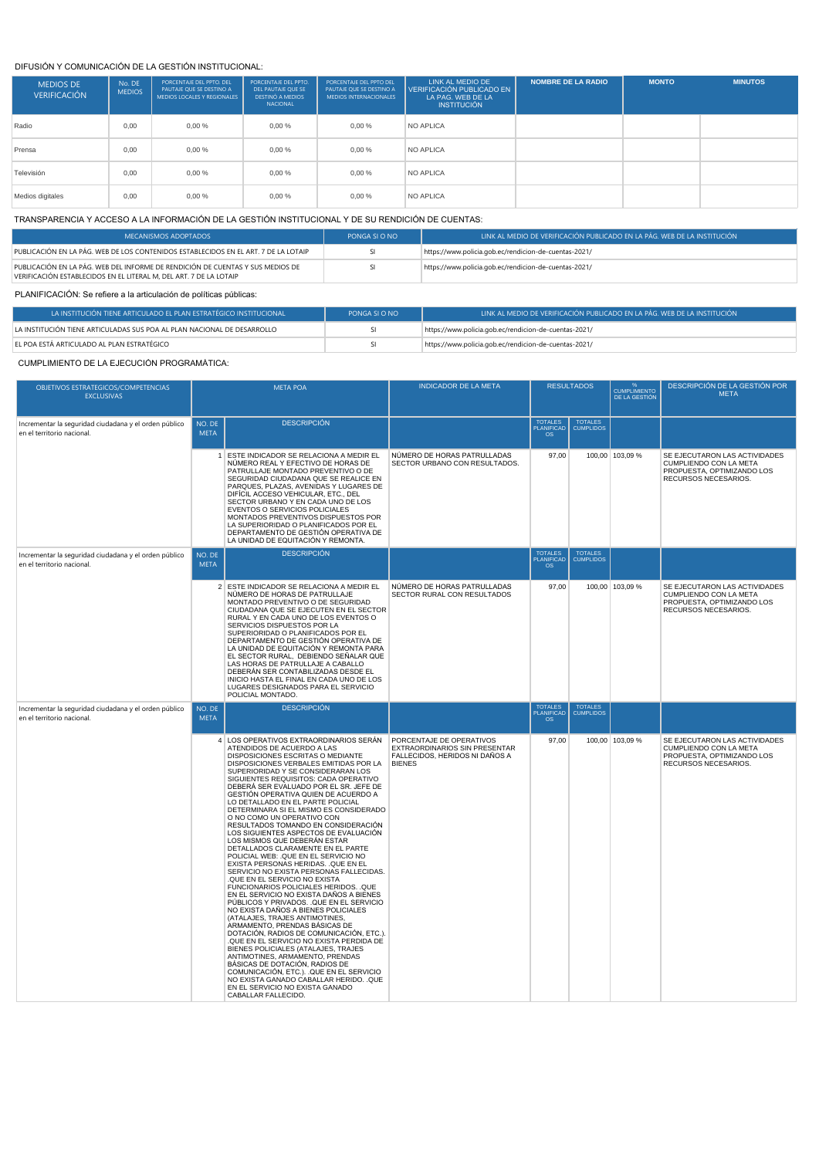#### DIFUSIÓN Y COMUNICACIÓN DE LA GESTIÓN INSTITUCIONAL:

| <b>MEDIOS DE</b><br><b>VERIFICACIÓN</b> | No. DE<br><b>MEDIOS</b> | PORCENTAJE DEL PPTO. DEL<br>PAUTAJE OUE SE DESTINO A<br>MEDIOS LOCALES Y REGIONALES | PORCENTAJE DEL PPTO.<br>DEL PAUTAJE OUE SE<br><b>DESTINÓ A MEDIOS</b><br>NACIONAL | PORCENTAJE DEL PPTO DEL<br>PAUTAJE OUE SE DESTINO A<br><b>MEDIOS INTERNACIONALES</b> | LINK AL MEDIO DE<br>VERIFICACIÓN PUBLICADO EN<br>LA PAG. WEB DE LA<br><b>INSTITUCIÓN</b> | <b>NOMBRE DE LA RADIO</b> | <b>MONTO</b> | <b>MINUTOS</b> |
|-----------------------------------------|-------------------------|-------------------------------------------------------------------------------------|-----------------------------------------------------------------------------------|--------------------------------------------------------------------------------------|------------------------------------------------------------------------------------------|---------------------------|--------------|----------------|
| Radio                                   | 0.00                    | $0.00 \%$                                                                           | 0,00%                                                                             | 0.00%                                                                                | <b>NO APLICA</b>                                                                         |                           |              |                |
| Prensa                                  | 0.00                    | 0,00%                                                                               | 0,00%                                                                             | 0.00%                                                                                | <b>NO APLICA</b>                                                                         |                           |              |                |
| Televisión                              | 0.00                    | 0,00%                                                                               | 0,00%                                                                             | 0,00%                                                                                | <b>NO APLICA</b>                                                                         |                           |              |                |
| Medios digitales                        | 0.00                    | 0,00%                                                                               | 0,00%                                                                             | 0,00%                                                                                | <b>NO APLICA</b>                                                                         |                           |              |                |

#### TRANSPARENCIA Y ACCESO A LA INFORMACIÓN DE LA GESTIÓN INSTITUCIONAL Y DE SU RENDICIÓN DE CUENTAS:

| MECANISMOS ADOPTADOS                                                                                                                                 | PONGA SI O NO | LINK AL MEDIO DE VERIFICACIÓN PUBLICADO EN LA PÁG. WEB DE LA INSTITUCIÓN |
|------------------------------------------------------------------------------------------------------------------------------------------------------|---------------|--------------------------------------------------------------------------|
| PUBLICACIÓN EN LA PÁG. WEB DE LOS CONTENIDOS ESTABLECIDOS EN EL ART. 7 DE LA LOTAIP                                                                  |               | https://www.policia.gob.ec/rendicion-de-cuentas-2021/                    |
| PUBLICACIÓN EN LA PÁG. WEB DEL INFORME DE RENDICIÓN DE CUENTAS Y SUS MEDIOS DE<br>VERIFICACIÓN ESTABLECIDOS EN EL LITERAL M, DEL ART. 7 DE LA LOTAIP |               | https://www.policia.gob.ec/rendicion-de-cuentas-2021/                    |

### PLANIFICACIÓN: Se refiere a la articulación de políticas públicas:

| I A INSTITUCIÓN TIENE ARTICULADO EL PLAN ESTRATÉGICO INSTITUCIONAL      | PONGA SI O NO | LINK AL MEDIO DE VERIFICACIÓN PUBLICADO EN LA PÁG. WEB DE LA INSTITUCIÓN |
|-------------------------------------------------------------------------|---------------|--------------------------------------------------------------------------|
| LA INSTITUCIÓN TIENE ARTICULADAS SUS POA AL PLAN NACIONAL DE DESARROLLO |               | https://www.policia.gob.ec/rendicion-de-cuentas-2021/                    |
| EL POA ESTÁ ARTICULADO AL PLAN ESTRATÉGICO                              |               | https://www.policia.gob.ec/rendicion-de-cuentas-2021/                    |

#### CUMPLIMIENTO DE LA EJECUCIÓN PROGRAMÁTICA:

| OBJETIVOS ESTRATEGICOS/COMPETENCIAS<br><b>EXCLUSIVAS</b>                            |                       | <b>META POA</b>                                                                                                                                                                                                                                                                                                                                                                                                                                                                                                                                                                                                                                                                                                                                                                                                                                                                                                                                                                                                                                                                                                                                                                                                                                                                                                                                 | <b>INDICADOR DE LA META</b>                                                                                  | <b>RESULTADOS</b>                        |                                    | <b>CUMPLIMIENTO</b><br>DE LA GESTIÓN | DESCRIPCIÓN DE LA GESTIÓN POR<br><b>META</b>                                                                  |
|-------------------------------------------------------------------------------------|-----------------------|-------------------------------------------------------------------------------------------------------------------------------------------------------------------------------------------------------------------------------------------------------------------------------------------------------------------------------------------------------------------------------------------------------------------------------------------------------------------------------------------------------------------------------------------------------------------------------------------------------------------------------------------------------------------------------------------------------------------------------------------------------------------------------------------------------------------------------------------------------------------------------------------------------------------------------------------------------------------------------------------------------------------------------------------------------------------------------------------------------------------------------------------------------------------------------------------------------------------------------------------------------------------------------------------------------------------------------------------------|--------------------------------------------------------------------------------------------------------------|------------------------------------------|------------------------------------|--------------------------------------|---------------------------------------------------------------------------------------------------------------|
| Incrementar la seguridad ciudadana y el orden público<br>en el territorio nacional. | NO. DE<br><b>META</b> | <b>DESCRIPCIÓN</b>                                                                                                                                                                                                                                                                                                                                                                                                                                                                                                                                                                                                                                                                                                                                                                                                                                                                                                                                                                                                                                                                                                                                                                                                                                                                                                                              |                                                                                                              | <b>TOTALES</b><br>PLANIFICAD<br>$\Omega$ | TOTALES<br>CUMPLIDOS               |                                      |                                                                                                               |
|                                                                                     |                       | 1 ESTE INDICADOR SE RELACIONA A MEDIR EL<br>NÚMERO REAL Y EFECTIVO DE HORAS DE<br>PATRULLAJE MONTADO PREVENTIVO O DE<br>SEGURIDAD CIUDADANA QUE SE REALICE EN<br>PARQUES, PLAZAS, AVENIDAS Y LUGARES DE<br>DIFÍCIL ACCESO VEHICULAR, ETC., DEL<br>SECTOR URBANO Y EN CADA UNO DE LOS<br>EVENTOS O SERVICIOS POLICIALES<br>MONTADOS PREVENTIVOS DISPUESTOS POR<br>LA SUPERIORIDAD O PLANIFICADOS POR EL<br>DEPARTAMENTO DE GESTIÓN OPERATIVA DE<br>LA UNIDAD DE EQUITACIÓN Y REMONTA.                                                                                                                                                                                                                                                                                                                                                                                                                                                                                                                                                                                                                                                                                                                                                                                                                                                            | NÚMERO DE HORAS PATRULLADAS<br>SECTOR URBANO CON RESULTADOS.                                                 | 97,00                                    |                                    | 100,00 103,09 %                      | SE EJECUTARON LAS ACTIVIDADES<br>CUMPLIENDO CON LA META<br>PROPUESTA, OPTIMIZANDO LOS<br>RECURSOS NECESARIOS. |
| Incrementar la seguridad ciudadana y el orden público<br>en el territorio nacional. | NO. DE<br><b>META</b> | <b>DESCRIPCIÓN</b>                                                                                                                                                                                                                                                                                                                                                                                                                                                                                                                                                                                                                                                                                                                                                                                                                                                                                                                                                                                                                                                                                                                                                                                                                                                                                                                              |                                                                                                              | <b>TOTALES</b><br>PLANIFICAD<br>OS       | <b>TOTALES</b><br><b>CUMPLIDOS</b> |                                      |                                                                                                               |
|                                                                                     |                       | 2 ESTE INDICADOR SE RELACIONA A MEDIR EL<br>NÚMERO DE HORAS DE PATRULLAJE<br>MONTADO PREVENTIVO O DE SEGURIDAD<br>CIUDADANA QUE SE EJECUTEN EN EL SECTOR<br>RURAL Y EN CADA UNO DE LOS EVENTOS O<br>SERVICIOS DISPUESTOS POR LA<br>SUPERIORIDAD O PLANIFICADOS POR EL<br>DEPARTAMENTO DE GESTIÓN OPERATIVA DE<br>LA UNIDAD DE EQUITACIÓN Y REMONTA PARA<br>EL SECTOR RURAL, DEBIENDO SEÑALAR QUE<br>LAS HORAS DE PATRULLAJE A CABALLO<br>DEBERÁN SER CONTABILIZADAS DESDE EL<br>INICIO HASTA EL FINAL EN CADA UNO DE LOS<br>LUGARES DESIGNADOS PARA EL SERVICIO<br>POLICIAL MONTADO.                                                                                                                                                                                                                                                                                                                                                                                                                                                                                                                                                                                                                                                                                                                                                            | NÚMERO DE HORAS PATRULLADAS<br>SECTOR RURAL CON RESULTADOS                                                   | 97,00                                    |                                    | 100,00 103,09 %                      | SE EJECUTARON LAS ACTIVIDADES<br>CUMPLIENDO CON LA META<br>PROPUESTA, OPTIMIZANDO LOS<br>RECURSOS NECESARIOS. |
| Incrementar la seguridad ciudadana y el orden público<br>en el territorio nacional. | NO. DE<br><b>META</b> | <b>DESCRIPCIÓN</b>                                                                                                                                                                                                                                                                                                                                                                                                                                                                                                                                                                                                                                                                                                                                                                                                                                                                                                                                                                                                                                                                                                                                                                                                                                                                                                                              |                                                                                                              | <b>TOTALES</b><br>PLANIFICAD<br>OS       | <b>TOTALES</b><br><b>CUMPLIDOS</b> |                                      |                                                                                                               |
|                                                                                     |                       | 4 LOS OPERATIVOS EXTRAORDINARIOS SERÁN<br>ATENDIDOS DE ACUERDO A LAS<br>DISPOSICIONES ESCRITAS O MEDIANTE<br>DISPOSICIONES VERBALES EMITIDAS POR LA<br>SUPERIORIDAD Y SE CONSIDERARAN LOS<br>SIGUIENTES REQUISITOS: CADA OPERATIVO<br>DEBERÁ SER EVALUADO POR EL SR. JEFE DE<br>GESTIÓN OPERATIVA QUIEN DE ACUERDO A<br>LO DETALLADO EN EL PARTE POLICIAL<br>DETERMINARA SI EL MISMO ES CONSIDERADO<br>O NO COMO UN OPERATIVO CON<br>RESULTADOS TOMANDO EN CONSIDERACIÓN<br>LOS SIGUIENTES ASPECTOS DE EVALUACIÓN<br>LOS MISMOS QUE DEBERÁN ESTAR<br>DETALLADOS CLARAMENTE EN EL PARTE<br>POLICIAL WEB: . QUE EN EL SERVICIO NO<br>EXISTA PERSONAS HERIDAS. . QUE EN EL<br>SERVICIO NO EXISTA PERSONAS FALLECIDAS.<br>QUE EN EL SERVICIO NO EXISTA<br>FUNCIONARIOS POLICIALES HERIDOS. . QUE<br>EN EL SERVICIO NO EXISTA DAÑOS A BIENES<br>PÚBLICOS Y PRIVADOS. QUE EN EL SERVICIO<br>NO EXISTA DAÑOS A BIENES POLICIALES<br>(ATALAJES, TRAJES ANTIMOTINES,<br>ARMAMENTO, PRENDAS BÁSICAS DE<br>DOTACIÓN, RADIOS DE COMUNICACIÓN, ETC.).<br>QUE EN EL SERVICIO NO EXISTA PERDIDA DE<br>BIENES POLICIALES (ATALAJES, TRAJES<br>ANTIMOTINES, ARMAMENTO, PRENDAS<br>BÁSICAS DE DOTACIÓN, RADIOS DE<br>COMUNICACIÓN, ETC.). QUE EN EL SERVICIO<br>NO EXISTA GANADO CABALLAR HERIDO. . QUE<br>EN EL SERVICIO NO EXISTA GANADO<br>CABALLAR FALLECIDO. | PORCENTAJE DE OPERATIVOS<br>EXTRAORDINARIOS SIN PRESENTAR<br>FALLECIDOS, HERIDOS NI DAÑOS A<br><b>BIENES</b> | 97,00                                    |                                    | 100,00 103,09 %                      | SE EJECUTARON LAS ACTIVIDADES<br>CUMPLIENDO CON LA META<br>PROPUESTA, OPTIMIZANDO LOS<br>RECURSOS NECESARIOS. |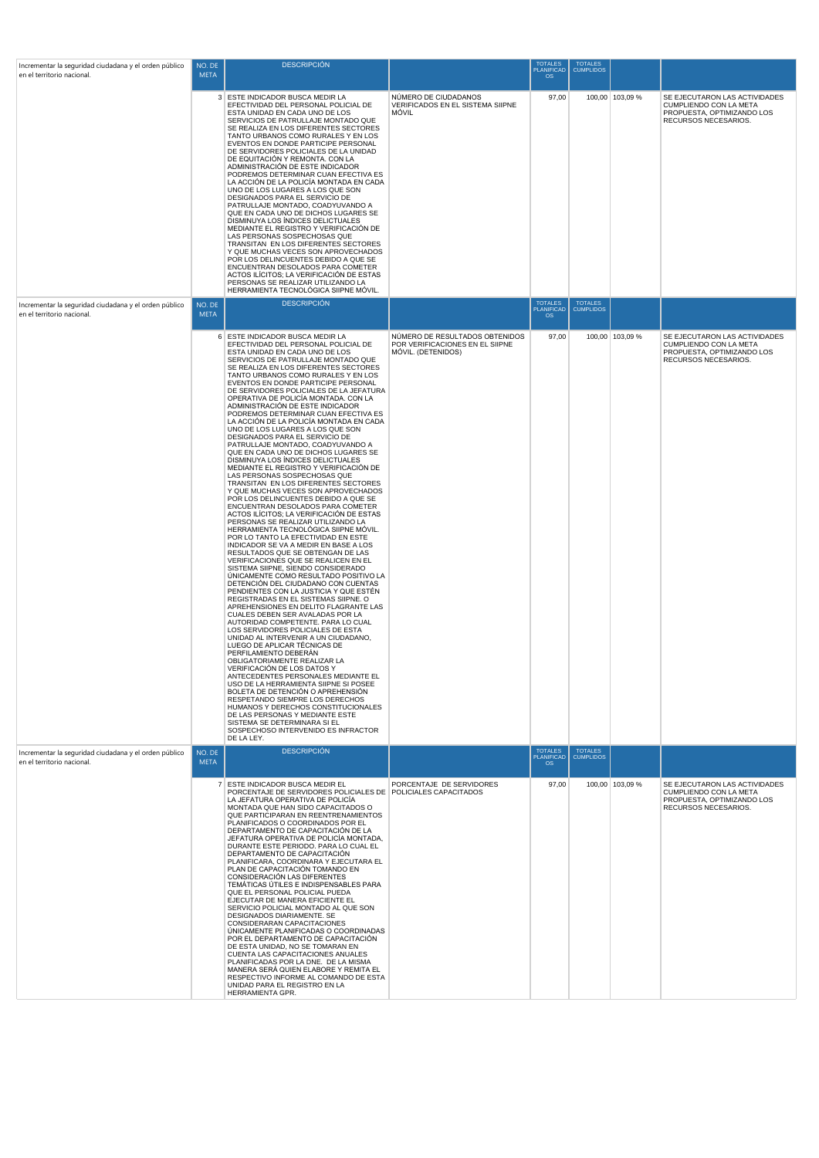| Incrementar la seguridad ciudadana y el orden público<br>en el territorio nacional. | NO. DE<br><b>META</b> | <b>DESCRIPCIÓN</b>                                                                                                                                                                                                                                                                                                                                                                                                                                                                                                                                                                                                                                                                                                                                                                                                                                                                                                                                                                                                                                                                                                                                                                                                                                                                                                                                                                                                                                                                                                                                                                                                                                                                                                                                                                                                                                                                                                                                                                                                                                             |                                                                                         | <b>TOTALES</b><br><b>PLANIFICAD</b><br><b>OS</b> | <b>TOTALES</b><br><b>CUMPLIDOS</b> |                 |                                                                                                               |
|-------------------------------------------------------------------------------------|-----------------------|----------------------------------------------------------------------------------------------------------------------------------------------------------------------------------------------------------------------------------------------------------------------------------------------------------------------------------------------------------------------------------------------------------------------------------------------------------------------------------------------------------------------------------------------------------------------------------------------------------------------------------------------------------------------------------------------------------------------------------------------------------------------------------------------------------------------------------------------------------------------------------------------------------------------------------------------------------------------------------------------------------------------------------------------------------------------------------------------------------------------------------------------------------------------------------------------------------------------------------------------------------------------------------------------------------------------------------------------------------------------------------------------------------------------------------------------------------------------------------------------------------------------------------------------------------------------------------------------------------------------------------------------------------------------------------------------------------------------------------------------------------------------------------------------------------------------------------------------------------------------------------------------------------------------------------------------------------------------------------------------------------------------------------------------------------------|-----------------------------------------------------------------------------------------|--------------------------------------------------|------------------------------------|-----------------|---------------------------------------------------------------------------------------------------------------|
|                                                                                     |                       | 3 ESTE INDICADOR BUSCA MEDIR LA<br>EFECTIVIDAD DEL PERSONAL POLICIAL DE<br>ESTA UNIDAD EN CADA UNO DE LOS<br>SERVICIOS DE PATRULLAJE MONTADO QUE<br>SE REALIZA EN LOS DIFERENTES SECTORES<br>TANTO URBANOS COMO RURALES Y EN LOS<br>EVENTOS EN DONDE PARTICIPE PERSONAL<br>DE SERVIDORES POLICIALES DE LA UNIDAD<br>DE EQUITACIÓN Y REMONTA. CON LA<br>ADMINISTRACIÓN DE ESTE INDICADOR<br>PODREMOS DETERMINAR CUAN EFECTIVA ES<br>LA ACCIÓN DE LA POLICÍA MONTADA EN CADA<br>UNO DE LOS LUGARES A LOS QUE SON<br>DESIGNADOS PARA EL SERVICIO DE<br>PATRULLAJE MONTADO, COADYUVANDO A<br>QUE EN CADA UNO DE DICHOS LUGARES SE<br>DISMINUYA LOS ÍNDICES DELICTUALES<br>MEDIANTE EL REGISTRO Y VERIFICACIÓN DE<br>LAS PERSONAS SOSPECHOSAS QUE<br>TRANSITAN EN LOS DIFERENTES SECTORES<br>Y QUE MUCHAS VECES SON APROVECHADOS<br>POR LOS DELINCUENTES DEBIDO A QUE SE<br>ENCUENTRAN DESOLADOS PARA COMETER<br>ACTOS ILÍCITOS; LA VERIFICACIÓN DE ESTAS<br>PERSONAS SE REALIZAR UTILIZANDO LA<br>HERRAMIENTA TECNOLÓGICA SIIPNE MÓVIL.                                                                                                                                                                                                                                                                                                                                                                                                                                                                                                                                                                                                                                                                                                                                                                                                                                                                                                                                                                                                                            | NÚMERO DE CIUDADANOS<br>VERIFICADOS EN EL SISTEMA SIIPNE<br>MÓVIL                       | 97,00                                            |                                    | 100,00 103,09 % | SE EJECUTARON LAS ACTIVIDADES<br>CUMPLIENDO CON LA META<br>PROPUESTA, OPTIMIZANDO LOS<br>RECURSOS NECESARIOS. |
| Incrementar la seguridad ciudadana y el orden público<br>en el territorio nacional. | NO. DE<br><b>META</b> | <b>DESCRIPCIÓN</b>                                                                                                                                                                                                                                                                                                                                                                                                                                                                                                                                                                                                                                                                                                                                                                                                                                                                                                                                                                                                                                                                                                                                                                                                                                                                                                                                                                                                                                                                                                                                                                                                                                                                                                                                                                                                                                                                                                                                                                                                                                             |                                                                                         | <b>TOTALES</b><br>PLANIFICAD                     | <b>TOTALES</b><br><b>CUMPLIDOS</b> |                 |                                                                                                               |
|                                                                                     |                       | 6 ESTE INDICADOR BUSCA MEDIR LA<br>EFECTIVIDAD DEL PERSONAL POLICIAL DE<br>ESTA UNIDAD EN CADA UNO DE LOS<br>SERVICIOS DE PATRULLAJE MONTADO QUE<br>SE REALIZA EN LOS DIFERENTES SECTORES<br>TANTO URBANOS COMO RURALES Y EN LOS<br>EVENTOS EN DONDE PARTICIPE PERSONAL<br>DE SERVIDORES POLICIALES DE LA JEFATURA<br>OPERATIVA DE POLICÍA MONTADA. CON LA<br>ADMINISTRACIÓN DE ESTE INDICADOR<br>PODREMOS DETERMINAR CUAN EFECTIVA ES<br>LA ACCIÓN DE LA POLICÍA MONTADA EN CADA<br>UNO DE LOS LUGARES A LOS QUE SON<br>DESIGNADOS PARA EL SERVICIO DE<br>PATRULLAJE MONTADO, COADYUVANDO A<br>QUE EN CADA UNO DE DICHOS LUGARES SE<br>DISMINUYA LOS ÍNDICES DELICTUALES<br>MEDIANTE EL REGISTRO Y VERIFICACIÓN DE<br>LAS PERSONAS SOSPECHOSAS QUE<br>TRANSITAN EN LOS DIFERENTES SECTORES<br>Y QUE MUCHAS VECES SON APROVECHADOS<br>POR LOS DELINCUENTES DEBIDO A QUE SE<br>ENCUENTRAN DESOLADOS PARA COMETER<br>ACTOS ILÍCITOS; LA VERIFICACIÓN DE ESTAS<br>PERSONAS SE REALIZAR UTILIZANDO LA<br>HERRAMIENTA TECNOLÓGICA SIIPNE MÓVIL.<br>POR LO TANTO LA EFECTIVIDAD EN ESTE<br>INDICADOR SE VA A MEDIR EN BASE A LOS<br>RESULTADOS QUE SE OBTENGAN DE LAS<br>VERIFICACIONES QUE SE REALICEN EN EL<br>SISTEMA SIIPNE, SIENDO CONSIDERADO<br>ÚNICAMENTE COMO RESULTADO POSITIVO LA<br>DETENCIÓN DEL CIUDADANO CON CUENTAS<br>PENDIENTES CON LA JUSTICIA Y QUE ESTÉN<br>REGISTRADAS EN EL SISTEMAS SIIPNE. O<br>APREHENSIONES EN DELITO FLAGRANTE LAS<br>CUALES DEBEN SER AVALADAS POR LA<br>AUTORIDAD COMPETENTE. PARA LO CUAL<br>LOS SERVIDORES POLICIALES DE ESTA<br>UNIDAD AL INTERVENIR A UN CIUDADANO,<br>LUEGO DE APLICAR TÉCNICAS DE<br>PERFILAMIENTO DEBERÁN<br>OBLIGATORIAMENTE REALIZAR LA<br>VERIFICACIÓN DE LOS DATOS Y<br>ANTECEDENTES PERSONALES MEDIANTE EL<br>USO DE LA HERRAMIENTA SIIPNE SI POSEE<br>BOLETA DE DETENCIÓN O APREHENSIÓN<br>RESPETANDO SIEMPRE LOS DERECHOS<br>HUMANOS Y DERECHOS CONSTITUCIONALES<br>DE LAS PERSONAS Y MEDIANTE ESTE<br>SISTEMA SE DETERMINARA SI EL<br>SOSPECHOSO INTERVENIDO ES INFRACTOR<br>DE LA LEY. | NÚMERO DE RESULTADOS OBTENIDOS<br>POR VERIFICACIONES EN EL SIIPNE<br>MÓVIL. (DETENIDOS) | 97,00                                            |                                    | 100,00 103,09 % | SE EJECUTARON LAS ACTIVIDADES<br>CUMPLIENDO CON LA META<br>PROPUESTA, OPTIMIZANDO LOS<br>RECURSOS NECESARIOS. |
| Incrementar la seguridad ciudadana y el orden público<br>en el territorio nacional. | NO. DE<br><b>META</b> | <b>DESCRIPCIÓN</b>                                                                                                                                                                                                                                                                                                                                                                                                                                                                                                                                                                                                                                                                                                                                                                                                                                                                                                                                                                                                                                                                                                                                                                                                                                                                                                                                                                                                                                                                                                                                                                                                                                                                                                                                                                                                                                                                                                                                                                                                                                             |                                                                                         | <b>TOTALES</b><br><b>PLANIFICAD</b><br><b>OS</b> | TOTALES<br>CUMPLIDOS               |                 |                                                                                                               |
|                                                                                     |                       | 7 ESTE INDICADOR BUSCA MEDIR EL<br>PORCENTAJE DE SERVIDORES POLICIALES DE POLICIALES CAPACITADOS<br>LA JEFATURA OPERATIVA DE POLICÍA<br>MONTADA QUE HAN SIDO CAPACITADOS O<br>QUE PARTICIPARAN EN REENTRENAMIENTOS<br>PLANIFICADOS O COORDINADOS POR EL<br>DEPARTAMENTO DE CAPACITACIÓN DE LA<br>JEFATURA OPERATIVA DE POLICÍA MONTADA,<br>DURANTE ESTE PERIODO. PARA LO CUAL EL<br>DEPARTAMENTO DE CAPACITACIÓN<br>PLANIFICARA, COORDINARA Y EJECUTARA EL<br>PLAN DE CAPACITACIÓN TOMANDO EN<br>CONSIDERACIÓN LAS DIFERENTES<br>TEMÁTICAS ÚTILES E INDISPENSABLES PARA<br>QUE EL PERSONAL POLICIAL PUEDA<br>EJECUTAR DE MANERA EFICIENTE EL<br>SERVICIO POLICIAL MONTADO AL QUE SON<br>DESIGNADOS DIARIAMENTE. SE<br>CONSIDERARAN CAPACITACIONES<br>ÚNICAMENTE PLANIFICADAS O COORDINADAS<br>POR EL DEPARTAMENTO DE CAPACITACIÓN<br>DE ESTA UNIDAD, NO SE TOMARAN EN<br>CUENTA LAS CAPACITACIONES ANUALES<br>PLANIFICADAS POR LA DNE. DE LA MISMA<br>MANERA SERÁ QUIEN ELABORE Y REMITA EL<br>RESPECTIVO INFORME AL COMANDO DE ESTA<br>UNIDAD PARA EL REGISTRO EN LA<br>HERRAMIENTA GPR.                                                                                                                                                                                                                                                                                                                                                                                                                                                                                                                                                                                                                                                                                                                                                                                                                                                                                                                                                                      | PORCENTAJE DE SERVIDORES                                                                | 97,00                                            |                                    | 100,00 103,09 % | SE EJECUTARON LAS ACTIVIDADES<br>CUMPLIENDO CON LA META<br>PROPUESTA, OPTIMIZANDO LOS<br>RECURSOS NECESARIOS. |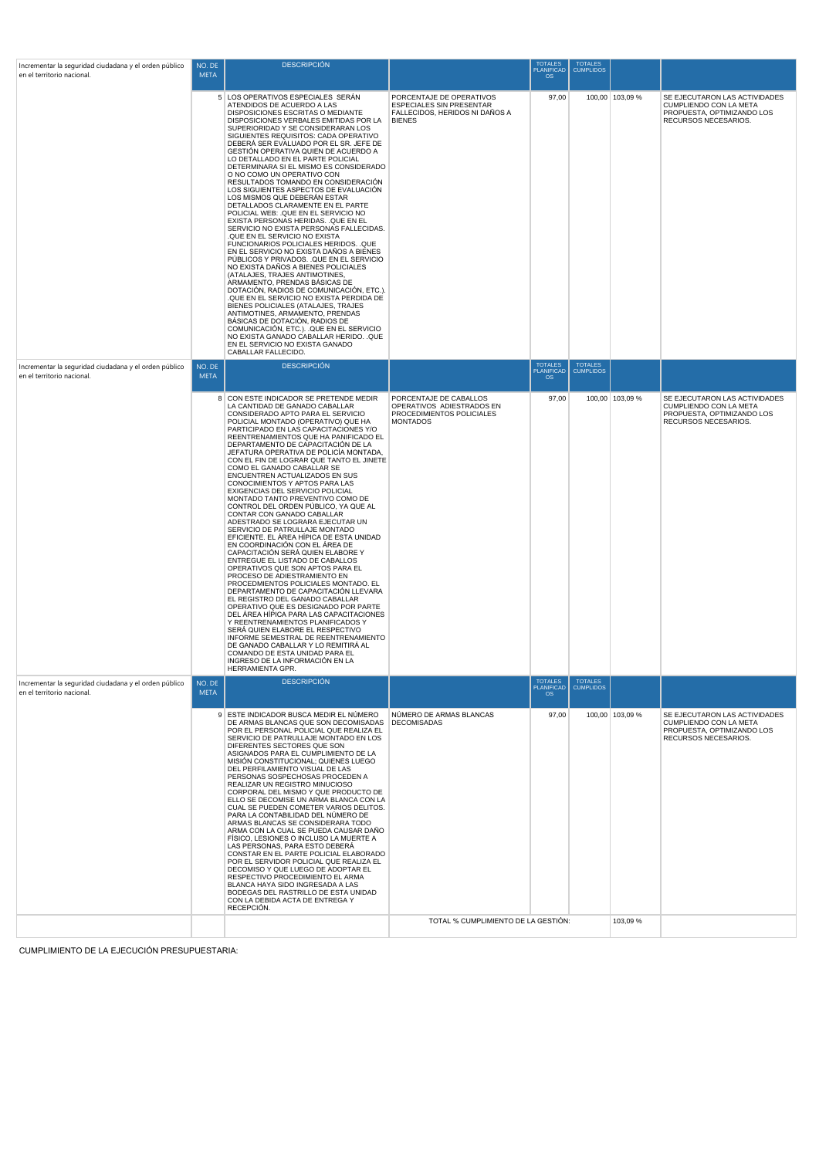| Incrementar la seguridad ciudadana y el orden público                               | NO. DE                | <b>DESCRIPCIÓN</b>                                                                                                                                                                                                                                                                                                                                                                                                                                                                                                                                                                                                                                                                                                                                                                                                                                                                                                                                                                                                                                                                                                                                                                                                                                                                                                                                                        |                                                                                                         | <b>TOTALES</b><br><b>PLANIFICAD</b>       | <b>TOTALES</b><br><b>CUMPLIDOS</b> |                 |                                                                                                               |
|-------------------------------------------------------------------------------------|-----------------------|---------------------------------------------------------------------------------------------------------------------------------------------------------------------------------------------------------------------------------------------------------------------------------------------------------------------------------------------------------------------------------------------------------------------------------------------------------------------------------------------------------------------------------------------------------------------------------------------------------------------------------------------------------------------------------------------------------------------------------------------------------------------------------------------------------------------------------------------------------------------------------------------------------------------------------------------------------------------------------------------------------------------------------------------------------------------------------------------------------------------------------------------------------------------------------------------------------------------------------------------------------------------------------------------------------------------------------------------------------------------------|---------------------------------------------------------------------------------------------------------|-------------------------------------------|------------------------------------|-----------------|---------------------------------------------------------------------------------------------------------------|
| en el territorio nacional                                                           | <b>META</b>           |                                                                                                                                                                                                                                                                                                                                                                                                                                                                                                                                                                                                                                                                                                                                                                                                                                                                                                                                                                                                                                                                                                                                                                                                                                                                                                                                                                           |                                                                                                         | <b>OS</b>                                 |                                    |                 |                                                                                                               |
|                                                                                     |                       | 5 LOS OPERATIVOS ESPECIALES SERÁN<br>ATENDIDOS DE ACUERDO A LAS<br>DISPOSICIONES ESCRITAS O MEDIANTE<br>DISPOSICIONES VERBALES EMITIDAS POR LA<br>SUPERIORIDAD Y SE CONSIDERARAN LOS<br>SIGUIENTES REQUISITOS: CADA OPERATIVO<br>DEBERÁ SER EVALUADO POR EL SR. JEFE DE<br>GESTIÓN OPERATIVA QUIEN DE ACUERDO A<br>LO DETALLADO EN EL PARTE POLICIAL<br>DETERMINARA SI EL MISMO ES CONSIDERADO<br>O NO COMO UN OPERATIVO CON<br>RESULTADOS TOMANDO EN CONSIDERACIÓN<br>LOS SIGUIENTES ASPECTOS DE EVALUACIÓN<br>LOS MISMOS QUE DEBERÁN ESTAR<br>DETALLADOS CLARAMENTE EN EL PARTE<br>POLICIAL WEB: . QUE EN EL SERVICIO NO<br>EXISTA PERSONAS HERIDAS. QUE EN EL<br>SERVICIO NO EXISTA PERSONAS FALLECIDAS.<br>QUE EN EL SERVICIO NO EXISTA<br>FUNCIONARIOS POLICIALES HERIDOS. . QUE<br>EN EL SERVICIO NO EXISTA DAÑOS A BIENES<br>PÚBLICOS Y PRIVADOS. QUE EN EL SERVICIO<br>NO EXISTA DAÑOS A BIENES POLICIALES<br>(ATALAJES, TRAJES ANTIMOTINES,<br>ARMAMENTO, PRENDAS BÁSICAS DE<br>DOTACIÓN, RADIOS DE COMUNICACIÓN, ETC.).<br>QUE EN EL SERVICIO NO EXISTA PERDIDA DE<br>BIENES POLICIALES (ATALAJES, TRAJES<br>ANTIMOTINES, ARMAMENTO, PRENDAS<br>BÁSICAS DE DOTACIÓN, RADIOS DE<br>COMUNICACIÓN, ETC.). QUE EN EL SERVICIO<br>NO EXISTA GANADO CABALLAR HERIDO. . QUE<br>EN EL SERVICIO NO EXISTA GANADO<br>CABALLAR FALLECIDO.                                  | PORCENTAJE DE OPERATIVOS<br>ESPECIALES SIN PRESENTAR<br>FALLECIDOS, HERIDOS NI DAÑOS A<br><b>BIENES</b> | 97,00                                     |                                    | 100,00 103,09 % | SE EJECUTARON LAS ACTIVIDADES<br>CUMPLIENDO CON LA META<br>PROPUESTA, OPTIMIZANDO LOS<br>RECURSOS NECESARIOS. |
| Incrementar la seguridad ciudadana y el orden público<br>en el territorio nacional  | NO. DE<br><b>META</b> | <b>DESCRIPCIÓN</b>                                                                                                                                                                                                                                                                                                                                                                                                                                                                                                                                                                                                                                                                                                                                                                                                                                                                                                                                                                                                                                                                                                                                                                                                                                                                                                                                                        |                                                                                                         | <b>TOTALES</b><br>PLANIFICAD<br><b>OS</b> | <b>TOTALES</b><br><b>CUMPLIDOS</b> |                 |                                                                                                               |
|                                                                                     |                       | 8 CON ESTE INDICADOR SE PRETENDE MEDIR<br>LA CANTIDAD DE GANADO CABALLAR<br>CONSIDERADO APTO PARA EL SERVICIO<br>POLICIAL MONTADO (OPERATIVO) QUE HA<br>PARTICIPADO EN LAS CAPACITACIONES Y/O<br>REENTRENAMIENTOS QUE HA PANIFICADO EL<br>DEPARTAMENTO DE CAPACITACIÓN DE LA<br>JEFATURA OPERATIVA DE POLICÍA MONTADA,<br>CON EL FIN DE LOGRAR QUE TANTO EL JINETE<br>COMO EL GANADO CABALLAR SE<br>ENCUENTREN ACTUALIZADOS EN SUS<br>CONOCIMIENTOS Y APTOS PARA LAS<br>EXIGENCIAS DEL SERVICIO POLICIAL<br>MONTADO TANTO PREVENTIVO COMO DE<br>CONTROL DEL ORDEN PÚBLICO, YA QUE AL<br>CONTAR CON GANADO CABALLAR<br>ADESTRADO SE LOGRARA EJECUTAR UN<br>SERVICIO DE PATRULLAJE MONTADO<br>EFICIENTE. EL ÁREA HÍPICA DE ESTA UNIDAD<br>EN COORDINACIÓN CON EL ÁREA DE<br>CAPACITACIÓN SERÁ QUIEN ELABORE Y<br>ENTREGUE EL LISTADO DE CABALLOS<br>OPERATIVOS QUE SON APTOS PARA EL<br>PROCESO DE ADIESTRAMIENTO EN<br>PROCEDMIENTOS POLICIALES MONTADO. EL<br>DEPARTAMENTO DE CAPACITACIÓN LLEVARA<br>EL REGISTRO DEL GANADO CABALLAR<br>OPERATIVO QUE ES DESIGNADO POR PARTE<br>DEL ÁREA HÍPICA PARA LAS CAPACITACIONES<br>Y REENTRENAMIENTOS PLANIFICADOS Y<br>SERÁ QUIEN ELABORE EL RESPECTIVO<br>INFORME SEMESTRAL DE REENTRENAMIENTO<br>DE GANADO CABALLAR Y LO REMITIRÁ AL<br>COMANDO DE ESTA UNIDAD PARA EL<br>INGRESO DE LA INFORMACIÓN EN LA<br>HERRAMIENTA GPR. | PORCENTAJE DE CABALLOS<br>OPERATIVOS ADIESTRADOS EN<br>PROCEDIMIENTOS POLICIALES<br><b>MONTADOS</b>     | 97,00                                     |                                    | 100,00 103,09 % | SE EJECUTARON LAS ACTIVIDADES<br>CUMPLIENDO CON LA META<br>PROPUESTA, OPTIMIZANDO LOS<br>RECURSOS NECESARIOS. |
| Incrementar la seguridad ciudadana y el orden público<br>en el territorio nacional. | NO. DE<br><b>META</b> | <b>DESCRIPCIÓN</b>                                                                                                                                                                                                                                                                                                                                                                                                                                                                                                                                                                                                                                                                                                                                                                                                                                                                                                                                                                                                                                                                                                                                                                                                                                                                                                                                                        |                                                                                                         | <b>TOTALES</b><br>PLANIFICAD              | TOTALES<br>CUMPLIDOS               |                 |                                                                                                               |
|                                                                                     |                       | 9 ESTE INDICADOR BUSCA MEDIR EL NÚMERO<br>DE ARMAS BLANCAS QUE SON DECOMISADAS DECOMISADAS<br>POR EL PERSONAL POLICIAL QUE REALIZA EL<br>SERVICIO DE PATRULLAJE MONTADO EN LOS<br>DIFERENTES SECTORES QUE SON<br>ASIGNADOS PARA EL CUMPLIMIENTO DE LA<br>MISIÓN CONSTITUCIONAL; QUIENES LUEGO<br>DEL PERFILAMIENTO VISUAL DE LAS<br>PERSONAS SOSPECHOSAS PROCEDEN A<br>REALIZAR UN REGISTRO MINUCIOSO<br>CORPORAL DEL MISMO Y QUE PRODUCTO DE<br>ELLO SE DECOMISE UN ARMA BLANCA CON LA<br>CUAL SE PUEDEN COMETER VARIOS DELITOS.<br>PARA LA CONTABILIDAD DEL NÚMERO DE<br>ARMAS BLANCAS SE CONSIDERARA TODO<br>ARMA CON LA CUAL SE PUEDA CAUSAR DAÑO<br>FÍSICO, LESIONES O INCLUSO LA MUERTE A<br>LAS PERSONAS, PARA ESTO DEBERÁ<br>CONSTAR EN EL PARTE POLICIAL ELABORADO<br>POR EL SERVIDOR POLICIAL QUE REALIZA EL<br>DECOMISO Y QUE LUEGO DE ADOPTAR EL<br>RESPECTIVO PROCEDIMIENTO EL ARMA<br>BLANCA HAYA SIDO INGRESADA A LAS<br>BODEGAS DEL RASTRILLO DE ESTA UNIDAD<br>CON LA DEBIDA ACTA DE ENTREGA Y<br>RECEPCIÓN.                                                                                                                                                                                                                                                                                                                                             | NÚMERO DE ARMAS BLANCAS                                                                                 | 97,00                                     |                                    | 100,00 103,09 % | SE EJECUTARON LAS ACTIVIDADES<br>CUMPLIENDO CON LA META<br>PROPUESTA, OPTIMIZANDO LOS<br>RECURSOS NECESARIOS. |
|                                                                                     |                       |                                                                                                                                                                                                                                                                                                                                                                                                                                                                                                                                                                                                                                                                                                                                                                                                                                                                                                                                                                                                                                                                                                                                                                                                                                                                                                                                                                           | TOTAL % CUMPLIMIENTO DE LA GESTIÓN:                                                                     |                                           |                                    | 103,09%         |                                                                                                               |

CUMPLIMIENTO DE LA EJECUCIÓN PRESUPUESTARIA: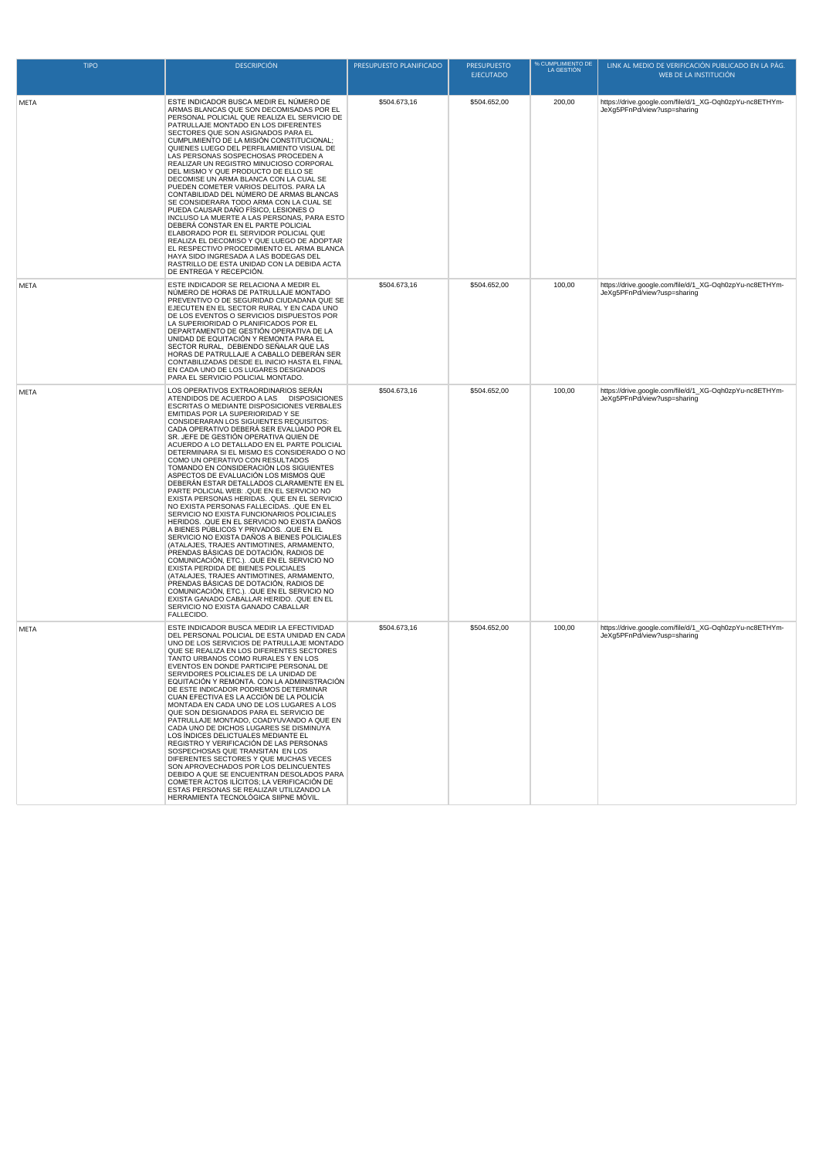| <b>TIPO</b> | <b>DESCRIPCIÓN</b>                                                                                                                                                                                                                                                                                                                                                                                                                                                                                                                                                                                                                                                                                                                                                                                                                                                                                                                                                                                                                                                                                                                                                                                                                                                                                                                | PRESUPUESTO PLANIFICADO | % CUMPLIMIENTO DE<br><b>PRESUPUESTO</b><br>LA GESTIÓN<br><b>EJECUTADO</b> |        | LINK AL MEDIO DE VERIFICACIÓN PUBLICADO EN LA PÁG.<br>WEB DE LA INSTITUCIÓN            |
|-------------|-----------------------------------------------------------------------------------------------------------------------------------------------------------------------------------------------------------------------------------------------------------------------------------------------------------------------------------------------------------------------------------------------------------------------------------------------------------------------------------------------------------------------------------------------------------------------------------------------------------------------------------------------------------------------------------------------------------------------------------------------------------------------------------------------------------------------------------------------------------------------------------------------------------------------------------------------------------------------------------------------------------------------------------------------------------------------------------------------------------------------------------------------------------------------------------------------------------------------------------------------------------------------------------------------------------------------------------|-------------------------|---------------------------------------------------------------------------|--------|----------------------------------------------------------------------------------------|
| META        | ESTE INDICADOR BUSCA MEDIR EL NÚMERO DE<br>ARMAS BLANCAS QUE SON DECOMISADAS POR EL<br>PERSONAL POLICIAL QUE REALIZA EL SERVICIO DE<br>PATRULLAJE MONTADO EN LOS DIFERENTES<br>SECTORES QUE SON ASIGNADOS PARA EL<br>CUMPLIMIENTO DE LA MISIÓN CONSTITUCIONAL;<br>QUIENES LUEGO DEL PERFILAMIENTO VISUAL DE<br>LAS PERSONAS SOSPECHOSAS PROCEDEN A<br>REALIZAR UN REGISTRO MINUCIOSO CORPORAL<br>DEL MISMO Y QUE PRODUCTO DE ELLO SE<br>DECOMISE UN ARMA BLANCA CON LA CUAL SE<br>PUEDEN COMETER VARIOS DELITOS. PARA LA<br>CONTABILIDAD DEL NÚMERO DE ARMAS BLANCAS<br>SE CONSIDERARA TODO ARMA CON LA CUAL SE<br>PUEDA CAUSAR DAÑO FÍSICO, LESIONES O<br>INCLUSO LA MUERTE A LAS PERSONAS, PARA ESTO<br>DEBERÁ CONSTAR EN EL PARTE POLICIAL<br>ELABORADO POR EL SERVIDOR POLICIAL QUE<br>REALIZA EL DECOMISO Y QUE LUEGO DE ADOPTAR<br>EL RESPECTIVO PROCEDIMIENTO EL ARMA BLANCA<br>HAYA SIDO INGRESADA A LAS BODEGAS DEL<br>RASTRILLO DE ESTA UNIDAD CON LA DEBIDA ACTA<br>DE ENTREGA Y RECEPCIÓN.                                                                                                                                                                                                                                                                                                                            | \$504.673,16            | \$504.652,00                                                              | 200,00 | https://drive.google.com/file/d/1_XG-Oqh0zpYu-nc8ETHYm-<br>JeXg5PFnPd/view?usp=sharing |
| META        | ESTE INDICADOR SE RELACIONA A MEDIR EL<br>NÚMERO DE HORAS DE PATRULLAJE MONTADO<br>PREVENTIVO O DE SEGURIDAD CIUDADANA QUE SE<br>EJECUTEN EN EL SECTOR RURAL Y EN CADA UNO<br>DE LOS EVENTOS O SERVICIOS DISPUESTOS POR<br>LA SUPERIORIDAD O PLANIFICADOS POR EL<br>DEPARTAMENTO DE GESTIÓN OPERATIVA DE LA<br>UNIDAD DE EQUITACIÓN Y REMONTA PARA EL<br>SECTOR RURAL, DEBIENDO SEÑALAR QUE LAS<br>HORAS DE PATRULLAJE A CABALLO DEBERÁN SER<br>CONTABILIZADAS DESDE EL INICIO HASTA EL FINAL<br>EN CADA UNO DE LOS LUGARES DESIGNADOS<br>PARA EL SERVICIO POLICIAL MONTADO.                                                                                                                                                                                                                                                                                                                                                                                                                                                                                                                                                                                                                                                                                                                                                      | \$504.673,16            | \$504.652,00                                                              | 100,00 | https://drive.google.com/file/d/1_XG-Oqh0zpYu-nc8ETHYm-<br>JeXg5PFnPd/view?usp=sharing |
| META        | LOS OPERATIVOS EXTRAORDINARIOS SERÁN<br>ATENDIDOS DE ACUERDO A LAS DISPOSICIONES<br>ESCRITAS O MEDIANTE DISPOSICIONES VERBALES<br>EMITIDAS POR LA SUPERIORIDAD Y SE<br>CONSIDERARAN LOS SIGUIENTES REQUISITOS:<br>CADA OPERATIVO DEBERÁ SER EVALUADO POR EL<br>SR. JEFE DE GESTIÓN OPERATIVA QUIEN DE<br>ACUERDO A LO DETALLADO EN EL PARTE POLICIAL<br>DETERMINARA SI EL MISMO ES CONSIDERADO O NO<br>COMO UN OPERATIVO CON RESULTADOS<br>TOMANDO EN CONSIDERACIÓN LOS SIGUIENTES<br>ASPECTOS DE EVALUACIÓN LOS MISMOS QUE<br>DEBERÁN ESTAR DETALLADOS CLARAMENTE EN EL<br>PARTE POLICIAL WEB: . QUE EN EL SERVICIO NO<br>EXISTA PERSONAS HERIDAS. . QUE EN EL SERVICIO<br>NO EXISTA PERSONAS FALLECIDAS. . QUE EN EL<br>SERVICIO NO EXISTA FUNCIONARIOS POLICIALES<br>HERIDOS. QUE EN EL SERVICIO NO EXISTA DAÑOS<br>A BIENES PÚBLICOS Y PRIVADOS. QUE EN EL<br>SERVICIO NO EXISTA DAÑOS A BIENES POLICIALES<br>(ATALAJES, TRAJES ANTIMOTINES, ARMAMENTO,<br>PRENDAS BÁSICAS DE DOTACIÓN, RADIOS DE<br>COMUNICACIÓN, ETC.). QUE EN EL SERVICIO NO<br>EXISTA PERDIDA DE BIENES POLICIALES<br>(ATALAJES, TRAJES ANTIMOTINES, ARMAMENTO,<br>PRENDAS BÁSICAS DE DOTACIÓN, RADIOS DE<br>COMUNICACIÓN, ETC.). QUE EN EL SERVICIO NO<br>EXISTA GANADO CABALLAR HERIDO. . QUE EN EL<br>SERVICIO NO EXISTA GANADO CABALLAR<br>FALLECIDO. | \$504.673,16            | \$504.652,00                                                              | 100,00 | https://drive.google.com/file/d/1_XG-Oqh0zpYu-nc8ETHYm-<br>JeXg5PFnPd/view?usp=sharing |
| META        | ESTE INDICADOR BUSCA MEDIR LA EFECTIVIDAD<br>DEL PERSONAL POLICIAL DE ESTA UNIDAD EN CADA<br>UNO DE LOS SERVICIOS DE PATRULLAJE MONTADO<br>QUE SE REALIZA EN LOS DIFERENTES SECTORES<br>TANTO URBANOS COMO RURALES Y EN LOS<br>EVENTOS EN DONDE PARTICIPE PERSONAL DE<br>SERVIDORES POLICIALES DE LA LINIDAD DE<br>EQUITACIÓN Y REMONTA, CON LA ADMINISTRACIÓN<br>DE ESTE INDICADOR PODREMOS DETERMINAR<br>CUAN EFECTIVA ES LA ACCIÓN DE LA POLICÍA<br>MONTADA EN CADA UNO DE LOS LUGARES A LOS<br>QUE SON DESIGNADOS PARA EL SERVICIO DE<br>PATRULLAJE MONTADO, COADYUVANDO A QUE EN<br>CADA UNO DE DICHOS LUGARES SE DISMINUYA<br>LOS ÍNDICES DELICTUALES MEDIANTE EL<br>REGISTRO Y VERIFICACIÓN DE LAS PERSONAS<br>SOSPECHOSAS QUE TRANSITAN EN LOS<br>DIFERENTES SECTORES Y QUE MUCHAS VECES<br>SON APROVECHADOS POR LOS DELINCUENTES<br>DEBIDO A QUE SE ENCUENTRAN DESOLADOS PARA<br>COMETER ACTOS ILÍCITOS; LA VERIFICACIÓN DE<br>ESTAS PERSONAS SE REALIZAR UTILIZANDO LA<br>HERRAMIENTA TECNOLÓGICA SIIPNE MÓVIL.                                                                                                                                                                                                                                                                                                         | \$504.673,16            | \$504.652,00                                                              | 100,00 | https://drive.google.com/file/d/1 XG-Oqh0zpYu-nc8ETHYm-<br>JeXg5PFnPd/view?usp=sharing |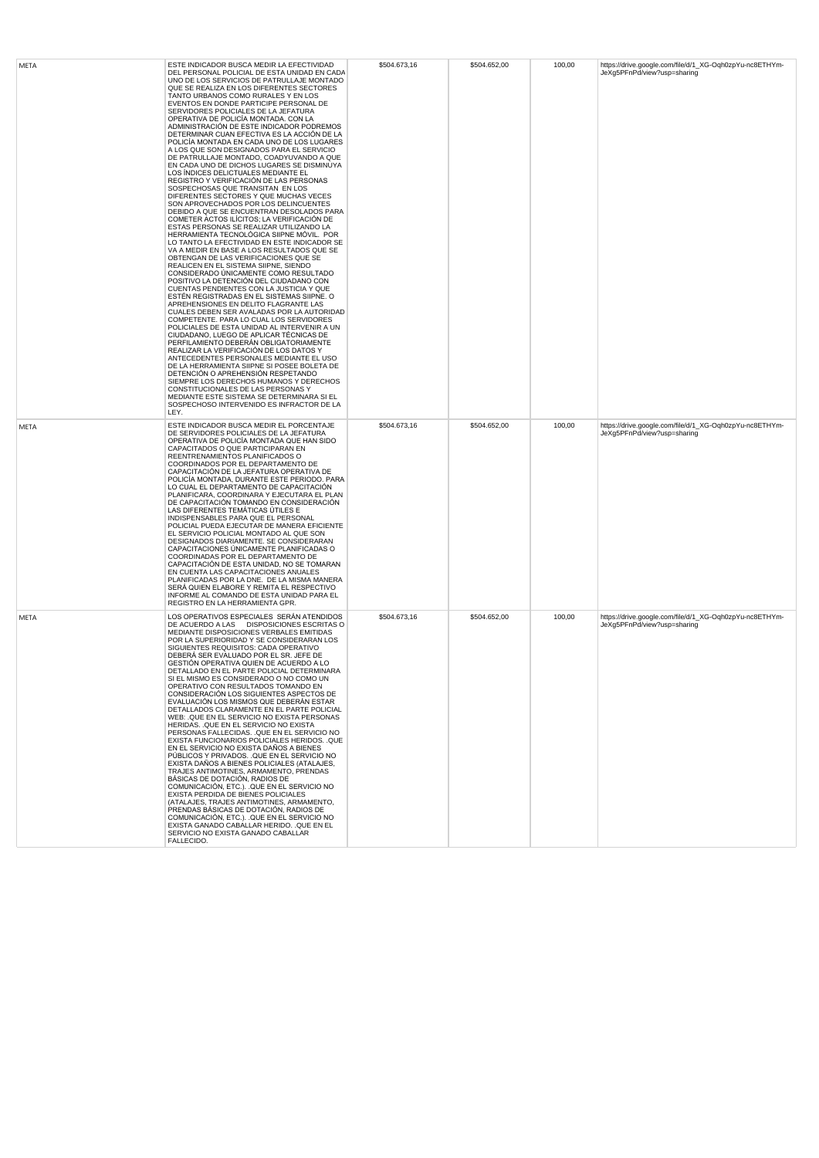| META | ESTE INDICADOR BUSCA MEDIR LA EFECTIVIDAD<br>DEL PERSONAL POLICIAL DE ESTA UNIDAD EN CADA<br>UNO DE LOS SERVICIOS DE PATRULLAJE MONTADO<br>QUE SE REALIZA EN LOS DIFERENTES SECTORES<br>TANTO URBANOS COMO RURALES Y EN LOS<br>EVENTOS EN DONDE PARTICIPE PERSONAL DE<br>SERVIDORES POLICIALES DE LA JEFATURA<br>OPERATIVA DE POLICÍA MONTADA. CON LA<br>ADMINISTRACIÓN DE ESTE INDICADOR PODREMOS<br>DETERMINAR CUAN EFECTIVA ES LA ACCIÓN DE LA<br>POLICÍA MONTADA EN CADA UNO DE LOS LUGARES<br>A LOS QUE SON DESIGNADOS PARA EL SERVICIO<br>DE PATRULLAJE MONTADO, COADYUVANDO A QUE<br>EN CADA UNO DE DICHOS LUGARES SE DISMINUYA<br>LOS ÍNDICES DELICTUALES MEDIANTE EL<br>REGISTRO Y VERIFICACIÓN DE LAS PERSONAS<br>SOSPECHOSAS QUE TRANSITAN EN LOS<br>DIFERENTES SECTORES Y QUE MUCHAS VECES<br>SON APROVECHADOS POR LOS DELINCUENTES<br>DEBIDO A QUE SE ENCUENTRAN DESOLADOS PARA<br>COMETER ACTOS ILÍCITOS; LA VERIFICACIÓN DE<br>ESTAS PERSONAS SE REALIZAR UTILIZANDO LA<br>HERRAMIENTA TECNOLÓGICA SIIPNE MÓVIL. POR<br>LO TANTO LA EFECTIVIDAD EN ESTE INDICADOR SE<br>VA A MEDIR EN BASE A LOS RESULTADOS QUE SE<br>OBTENGAN DE LAS VERIFICACIONES QUE SE<br>REALICEN EN EL SISTEMA SIIPNE, SIENDO<br>CONSIDERADO ÚNICAMENTE COMO RESULTADO<br>POSITIVO LA DETENCIÓN DEL CIUDADANO CON<br>CUENTAS PENDIENTES CON LA JUSTICIA Y QUE<br>ESTÉN REGISTRADAS EN EL SISTEMAS SIIPNE. O<br>APREHENSIONES EN DELITO FLAGRANTE LAS<br>CUALES DEBEN SER AVALADAS POR LA AUTORIDAD<br>COMPETENTE. PARA LO CUAL LOS SERVIDORES<br>POLICIALES DE ESTA UNIDAD AL INTERVENIR A UN<br>CIUDADANO, LUEGO DE APLICAR TÉCNICAS DE<br>PERFILAMIENTO DEBERÁN OBLIGATORIAMENTE<br>REALIZAR LA VERIFICACIÓN DE LOS DATOS Y<br>ANTECEDENTES PERSONALES MEDIANTE EL USO<br>DE LA HERRAMIENTA SIIPNE SI POSEE BOLETA DE<br>DETENCIÓN O APREHENSIÓN RESPETANDO<br>SIEMPRE LOS DERECHOS HUMANOS Y DERECHOS<br>CONSTITUCIONALES DE LAS PERSONAS Y<br>MEDIANTE ESTE SISTEMA SE DETERMINARA SI EL<br>SOSPECHOSO INTERVENIDO ES INFRACTOR DE LA<br>LEY. | \$504.673,16 | \$504.652,00 | 100,00 | https://drive.google.com/file/d/1_XG-Oqh0zpYu-nc8ETHYm-<br>JeXg5PFnPd/view?usp=sharing |
|------|-----------------------------------------------------------------------------------------------------------------------------------------------------------------------------------------------------------------------------------------------------------------------------------------------------------------------------------------------------------------------------------------------------------------------------------------------------------------------------------------------------------------------------------------------------------------------------------------------------------------------------------------------------------------------------------------------------------------------------------------------------------------------------------------------------------------------------------------------------------------------------------------------------------------------------------------------------------------------------------------------------------------------------------------------------------------------------------------------------------------------------------------------------------------------------------------------------------------------------------------------------------------------------------------------------------------------------------------------------------------------------------------------------------------------------------------------------------------------------------------------------------------------------------------------------------------------------------------------------------------------------------------------------------------------------------------------------------------------------------------------------------------------------------------------------------------------------------------------------------------------------------------------------------------------------------------------------------------------------------------------------------------------------------------|--------------|--------------|--------|----------------------------------------------------------------------------------------|
| META | ESTE INDICADOR BUSCA MEDIR EL PORCENTAJE<br>DE SERVIDORES POLICIALES DE LA JEFATURA<br>OPERATIVA DE POLICÍA MONTADA QUE HAN SIDO<br>CAPACITADOS O QUE PARTICIPARAN EN<br>REENTRENAMIENTOS PLANIFICADOS O<br>COORDINADOS POR EL DEPARTAMENTO DE<br>CAPACITACIÓN DE LA JEFATURA OPERATIVA DE<br>POLICÍA MONTADA, DURANTE ESTE PERIODO. PARA<br>LO CUAL EL DEPARTAMENTO DE CAPACITACIÓN<br>PLANIFICARA, COORDINARA Y EJECUTARA EL PLAN<br>DE CAPACITACIÓN TOMANDO EN CONSIDERACIÓN<br>LAS DIFERENTES TEMÁTICAS ÚTILES E<br>INDISPENSABLES PARA QUE EL PERSONAL<br>POLICIAL PUEDA EJECUTAR DE MANERA EFICIENTE<br>EL SERVICIO POLICIAL MONTADO AL QUE SON<br>DESIGNADOS DIARIAMENTE. SE CONSIDERARAN<br>CAPACITACIONES ÚNICAMENTE PLANIFICADAS O<br>COORDINADAS POR EL DEPARTAMENTO DE<br>CAPACITACIÓN DE ESTA UNIDAD, NO SE TOMARAN<br>EN CUENTA LAS CAPACITACIONES ANUALES<br>PLANIFICADAS POR LA DNE. DE LA MISMA MANERA<br>SERÁ QUIEN ELABORE Y REMITA EL RESPECTIVO<br>INFORME AL COMANDO DE ESTA UNIDAD PARA EL<br>REGISTRO EN LA HERRAMIENTA GPR.                                                                                                                                                                                                                                                                                                                                                                                                                                                                                                                                                                                                                                                                                                                                                                                                                                                                                                                                                                                    | \$504.673,16 | \$504.652,00 | 100,00 | https://drive.google.com/file/d/1_XG-Oqh0zpYu-nc8ETHYm-<br>JeXg5PFnPd/view?usp=sharing |
| META | LOS OPERATIVOS ESPECIALES SERÁN ATENDIDOS<br>DE ACUERDO A LAS DISPOSICIONES ESCRITAS O<br>MEDIANTE DISPOSICIONES VERBALES EMITIDAS<br>POR LA SUPERIORIDAD Y SE CONSIDERARAN LOS<br>SIGUIENTES REQUISITOS: CADA OPERATIVO<br>DEBERÁ SER EVALUADO POR EL SR. JEFE DE<br>GESTIÓN OPERATIVA QUIEN DE ACUERDO A LO<br>DETALLADO EN EL PARTE POLICIAL DETERMINARA<br>SI EL MISMO ES CONSIDERADO O NO COMO UN<br>OPERATIVO CON RESULTADOS TOMANDO EN<br>CONSIDERACIÓN LOS SIGUIENTES ASPECTOS DE<br>EVALUACIÓN LOS MISMOS QUE DEBERÁN ESTAR<br>DETALLADOS CLARAMENTE EN EL PARTE POLICIAL<br>WEB: .QUE EN EL SERVICIO NO EXISTA PERSONAS<br>HERIDAS. . QUE EN EL SERVICIO NO EXISTA<br>PERSONAS FALLECIDAS. . QUE EN EL SERVICIO NO<br>EXISTA FUNCIONARIOS POLICIALES HERIDOS. . QUE<br>EN EL SERVICIO NO EXISTA DAÑOS A BIENES<br>PÚBLICOS Y PRIVADOS. QUE EN EL SERVICIO NO<br>EXISTA DAÑOS A BIENES POLICIALES (ATALAJES,<br>TRAJES ANTIMOTINES, ARMAMENTO, PRENDAS<br>BÁSICAS DE DOTACIÓN, RADIOS DE<br>COMUNICACIÓN, ETC.). QUE EN EL SERVICIO NO<br>EXISTA PERDIDA DE BIENES POLICIALES<br>(ATALAJES, TRAJES ANTIMOTINES, ARMAMENTO,<br>PRENDAS BÁSICAS DE DOTACIÓN, RADIOS DE<br>COMUNICACIÓN, ETC.). QUE EN EL SERVICIO NO<br>EXISTA GANADO CABALLAR HERIDO. . QUE EN EL<br>SERVICIO NO EXISTA GANADO CABALLAR<br>FALLECIDO.                                                                                                                                                                                                                                                                                                                                                                                                                                                                                                                                                                                                                                                                                                           | \$504.673,16 | \$504.652.00 | 100,00 | https://drive.google.com/file/d/1_XG-Oqh0zpYu-nc8ETHYm-<br>JeXg5PFnPd/view?usp=sharing |